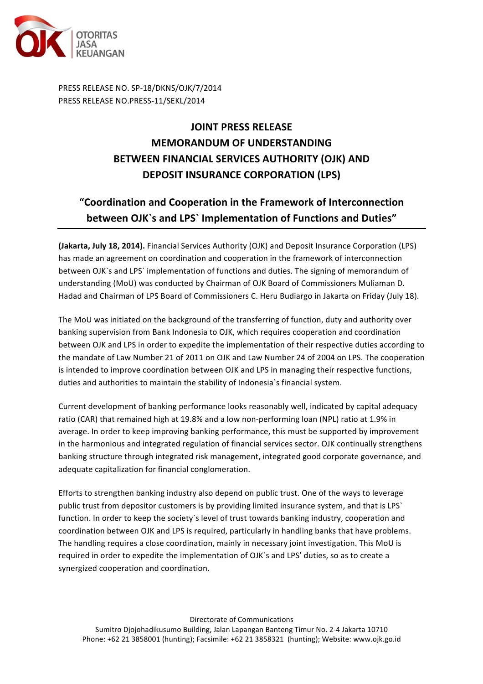

PRESS RELEASE NO. SP-18/DKNS/OJK/7/2014 PRESS RELEASE NO.PRESS-11/SEKL/2014

## **JOINT PRESS RELEASE MEMORANDUM OF UNDERSTANDING BETWEEN FINANCIAL SERVICES AUTHORITY (OJK) AND DEPOSIT INSURANCE CORPORATION (LPS)**

## "Coordination and Cooperation in the Framework of Interconnection **between OJK**'s and LPS' Implementation of Functions and Duties"

**(Jakarta, July 18, 2014).** Financial Services Authority (OJK) and Deposit Insurance Corporation (LPS) has made an agreement on coordination and cooperation in the framework of interconnection between OJK`s and LPS` implementation of functions and duties. The signing of memorandum of understanding (MoU) was conducted by Chairman of OJK Board of Commissioners Muliaman D. Hadad and Chairman of LPS Board of Commissioners C. Heru Budiargo in Jakarta on Friday (July 18).

The MoU was initiated on the background of the transferring of function, duty and authority over banking supervision from Bank Indonesia to OJK, which requires cooperation and coordination between OJK and LPS in order to expedite the implementation of their respective duties according to the mandate of Law Number 21 of 2011 on OJK and Law Number 24 of 2004 on LPS. The cooperation is intended to improve coordination between OJK and LPS in managing their respective functions, duties and authorities to maintain the stability of Indonesia's financial system.

Current development of banking performance looks reasonably well, indicated by capital adequacy ratio (CAR) that remained high at 19.8% and a low non-performing loan (NPL) ratio at 1.9% in average. In order to keep improving banking performance, this must be supported by improvement in the harmonious and integrated regulation of financial services sector. OJK continually strengthens banking structure through integrated risk management, integrated good corporate governance, and adequate capitalization for financial conglomeration.

Efforts to strengthen banking industry also depend on public trust. One of the ways to leverage public trust from depositor customers is by providing limited insurance system, and that is LPS` function. In order to keep the society's level of trust towards banking industry, cooperation and coordination between OJK and LPS is required, particularly in handling banks that have problems. The handling requires a close coordination, mainly in necessary joint investigation. This MoU is required in order to expedite the implementation of OJK's and LPS' duties, so as to create a synergized cooperation and coordination.

Directorate of Communications

Sumitro Djojohadikusumo Building, Jalan Lapangan Banteng Timur No. 2-4 Jakarta 10710 Phone: +62 21 3858001 (hunting); Facsimile: +62 21 3858321 (hunting); Website: www.ojk.go.id